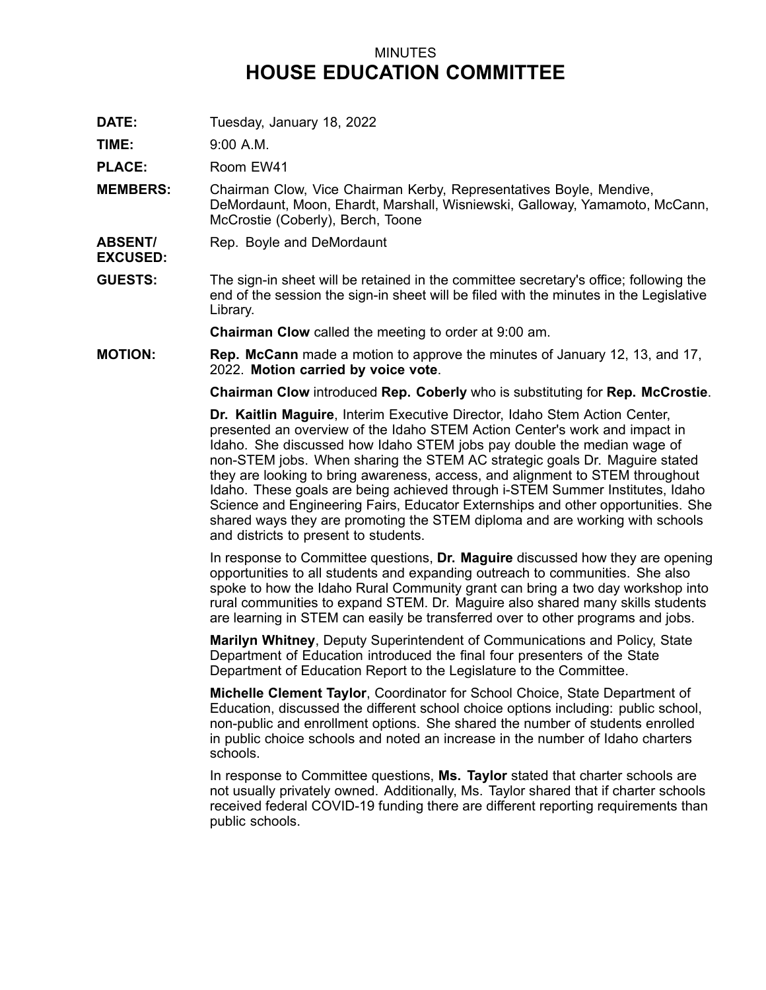## MINUTES **HOUSE EDUCATION COMMITTEE**

**DATE:** Tuesday, January 18, 2022

**TIME:** 9:00 A.M.

**EXCUSED:**

PLACE: Room EW41

- **MEMBERS:** Chairman Clow, Vice Chairman Kerby, Representatives Boyle, Mendive, DeMordaunt, Moon, Ehardt, Marshall, Wisniewski, Galloway, Yamamoto, McCann, McCrostie (Coberly), Berch, Toone
- **ABSENT/** Rep. Boyle and DeMordaunt
- **GUESTS:** The sign-in sheet will be retained in the committee secretary's office; following the end of the session the sign-in sheet will be filed with the minutes in the Legislative Library.

**Chairman Clow** called the meeting to order at 9:00 am.

**MOTION: Rep. McCann** made <sup>a</sup> motion to approve the minutes of January 12, 13, and 17, 2022. **Motion carried by voice vote**.

**Chairman Clow** introduced **Rep. Coberly** who is substituting for **Rep. McCrostie**.

**Dr. Kaitlin Maguire**, Interim Executive Director, Idaho Stem Action Center, presented an overview of the Idaho STEM Action Center's work and impact in Idaho. She discussed how Idaho STEM jobs pay double the median wage of non-STEM jobs. When sharing the STEM AC strategic goals Dr. Maguire stated they are looking to bring awareness, access, and alignment to STEM throughout Idaho. These goals are being achieved through i-STEM Summer Institutes, Idaho Science and Engineering Fairs, Educator Externships and other opportunities. She shared ways they are promoting the STEM diploma and are working with schools and districts to present to students.

In response to Committee questions, **Dr. Maguire** discussed how they are opening opportunities to all students and expanding outreach to communities. She also spoke to how the Idaho Rural Community grant can bring <sup>a</sup> two day workshop into rural communities to expand STEM. Dr. Maguire also shared many skills students are learning in STEM can easily be transferred over to other programs and jobs.

**Marilyn Whitney**, Deputy Superintendent of Communications and Policy, State Department of Education introduced the final four presenters of the State Department of Education Report to the Legislature to the Committee.

**Michelle Clement Taylor**, Coordinator for School Choice, State Department of Education, discussed the different school choice options including: public school, non-public and enrollment options. She shared the number of students enrolled in public choice schools and noted an increase in the number of Idaho charters schools.

In response to Committee questions, **Ms. Taylor** stated that charter schools are not usually privately owned. Additionally, Ms. Taylor shared that if charter schools received federal COVID-19 funding there are different reporting requirements than public schools.